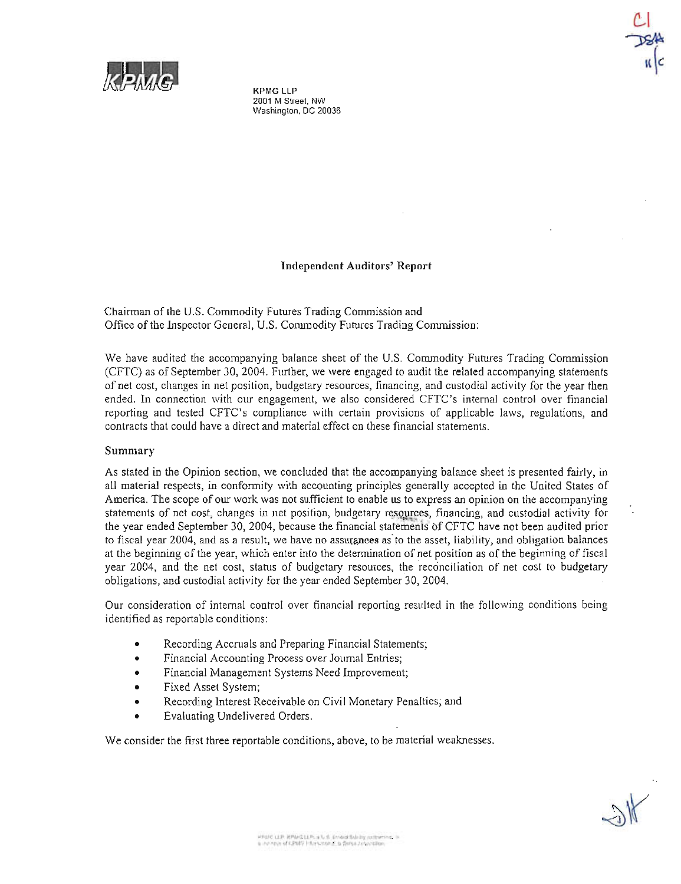

KPMG LLP **2001 M Street, NW Washington, DC 20036**

### Independent Auditors' Report

Chairman of the U.S. Commodity Futures Trading Commission and Office of the Inspector General, U.S. Commodity Futures Trading Commission:

We have audited the accompanying balance sheet of the U.S. Commodity Futures Trading Commission (CFTC) as of September 30, 2004. Further, we were engaged to audit the related accompanying statements of net cost, changes in net position, budgetary resources, financing, and custodial activity for the year then ended. In connection with our engagement, we also considered CFTC's internal control over financial reporting and tested CFTC's compliance with certain provisions of applicable laws, regulations, and contracts that could have a direct and material effect on these financial statements.

#### Summary

As stated in the Opinion section, we concluded that the accompanying balance sheet is presented fairly, in all material respects, in conformity with accounting principles generally accepted in the United States of America. The scope of our work was not sufficient to enable us to express an opinion on the accompanying statements of net cost, changes in net position, budgetary resources, financing, and custodial activity for the year ended September 30, 2004, because the financial statements of CFTC have not been audited prior to fiscal year 2004, and as a result, we have no assurances as to the asset, liability, and obligation balances at the beginning of the year, which enter into the determination of net position as of the beginning of fiscal year 2004, and the net cost, status of budgetary resources, the reconciliation of net cost to budgetary obligations, and custodial activity for the year ended September 30, 2004.

Our consideration of internal control over financial reporting resulted in the following conditions being identified as reportable conditions:

- Recording Accruals and Preparing Financial Statements;
- Financial Accounting Process over Journal Entries;
- Financial Management Systems Need Improvement;
- Fixed Asset System;
- Recording Interest Receivable on Civil Monetary Penalties; and
- Evaluating Undelivered Orders.

We consider the first three reportable conditions, above, to be material weaknesses.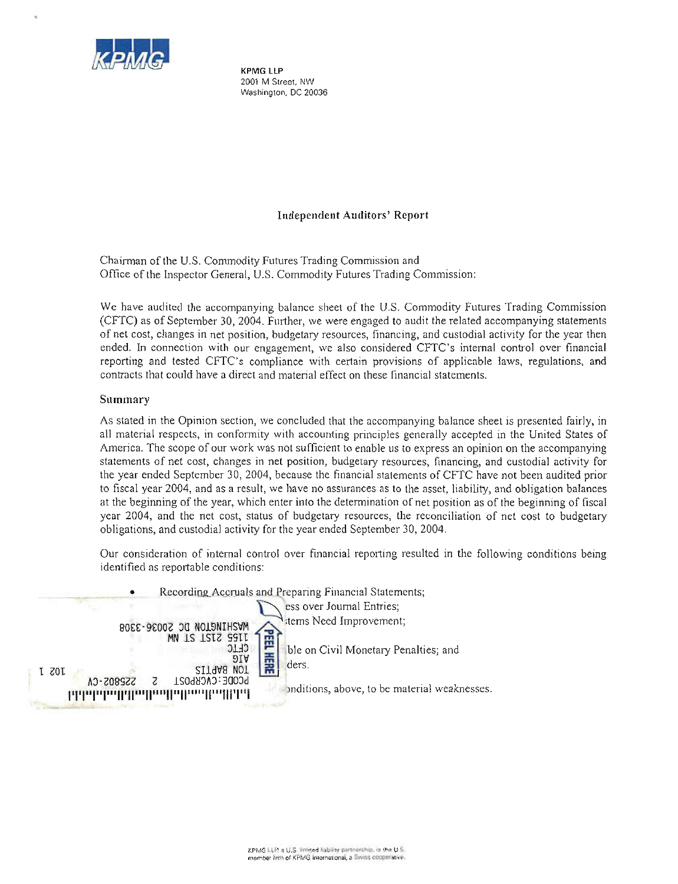

KPMG LLP **2001 M Street. NW Washington, DC 20036**

# Independent Auditors' Report

Chainnan of the U.S. Commodity Futures Trading Commission and Office of the Inspector General, U.S. Commodity Futures Trading Commission:

We have audited the accompanying balance sheet of the U.S. Commodity Futures Trading Commission (CFTC) as of September 30, 2004. Further, we were engaged to audit the related accompanying statements of net cost, changes in net position, budgetary resources, financing, and custodial activity for the year then ended. In connection with our engagement, we also considered CFTC's internal control over financial reporting and tested CFTC's compliance with certain provisions of applicable laws, regulations, and contracts that could have a direct and material effect on these financial statements.

# **Summary**

As stated in the Opinion section, we concluded that the accompanying balance sheet is presented fairly, in all material respects, in conformity with accounting principles generally accepted in the United States of America. The scope of our work was not sufficient to enable us to express an opinion on the accompanying **statements of net cost, changes in net position, budgetary resources, financing, and custodial activity for** the year ended September 30, 2004, because the financial statements of CFTC have not been audited prior to fiscal year 2004, and as a result, we have no assurances as to the asset, liability, and obligation balances at the beginning of the year, which enter into the determination of net position as of the beginning of fiscal year 2004, and the net cost, status of budgetary resources, the reconciliation of net cost to budgetary obligations, and custodial activity for the year ended September 30, 2004.

Our consideration of internal control over financial reporting resulted in the following conditions being **identified as reportable conditions:**

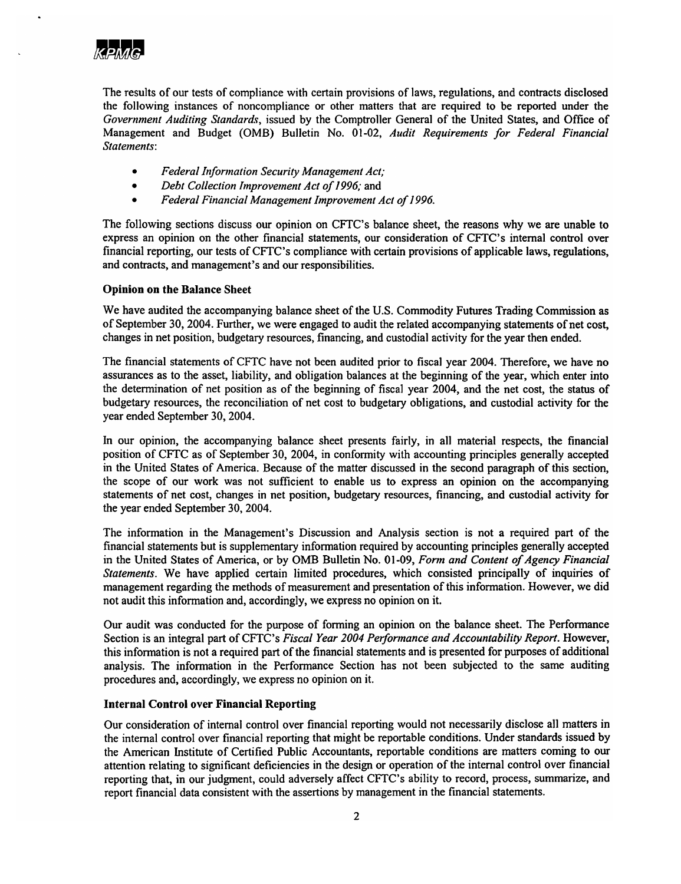

The results of our tests of compliance with certain provisions of laws, regulations, and contracts disclosed the following instances of noncompliance or other matters that are required to be reported under the *Government Auditing Standards,* issued by the Comptroller General of the United States, and Office of Management and Budget (OMB) Bulletin No. 01-02, *Audit Requirements for Federal Financial Statements:*

- *Federal Information Security Management Act;*
- *• Debt Collection Improvement Act of*1996; and
- *• Federal Financial Management Improvement Act of1996.*

The following sections discuss our opinion on CFfC's balance sheet, the reasons why we are unable to express an opinion on the other financial statements, our consideration of CFfC's internal control over financial reporting, our tests ofCFfC's compliance with certain provisions of applicable laws, regulations, and contracts, and management's and our responsibilities.

### Opinion on the Balance Sheet

We have audited the accompanying balance sheet of the U.S. Commodity Futures Trading Commission as of September 30, 2004. Further, we were engaged to audit the related accompanying statements ofnet cost, changes in net position, budgetary resources, financing, and custodial activity for the year then ended.

The financial statements of CFTC have not been audited prior to fiscal year 2004. Therefore, we have no assurances as to the asset, liability, and obligation balances at the beginning of the year, which enter into the determination of net position as of the beginning of fiscal year 2004, and the net cost, the status of budgetary resources, the reconciliation of net cost to budgetary obligations, and custodial activity for the year ended September 30, 2004.

In our opinion, the accompanying balance sheet presents fairly, in all material respects, the financial position of CFTC as of September 30, 2004, in conformity with accounting principles generally accepted in the United States of America. Because of the matter discussed in the second paragraph of this section, the scope of our work was not sufficient to enable us to express an opinion on the accompanying statements of net cost, changes in net position, budgetary resources, financing, and custodial activity for the year ended September 30, 2004.

The information in the Management's Discussion and Analysis section is not a required part of the financial statements but is supplementary information required by accounting principles generally accepted in the United States of America, or by OMB Bulletin No. 01-09, *Form and Content of Agency Financial Statements.* We have applied certain limited procedures, which consisted principally of inquiries of management regarding the methods of measurement and presentation of this information. However, we did not audit this information and, accordingly, we express no opinion on it.

Our audit was conducted for the purpose of forming an opinion on the balance sheet. The Performance Section is an integral part ofCFfC's *Fiscal Year 2004 Performance and Accountability Report.* However, this information is not a required part of the financial statements and is presented for purposes of additional analysis. The information in the Performance Section has not been subjected to the same auditing procedures and, accordingly, we express no opinion on it.

### Internal Control over Financial Reporting

Our consideration of internal control over financial reporting would not necessarily disclose all matters in the internal control over financial reporting that might be reportable conditions. Under standards issued by the American Institute of Certified Public Accountants, reportable conditions are matters coming to our attention relating to significant deficiencies in the design or operation of the internal control over financial reporting that, in our judgment, could adversely affect CFTC's ability to record, process, summarize, and report financial data consistent with the assertions by management in the financial statements.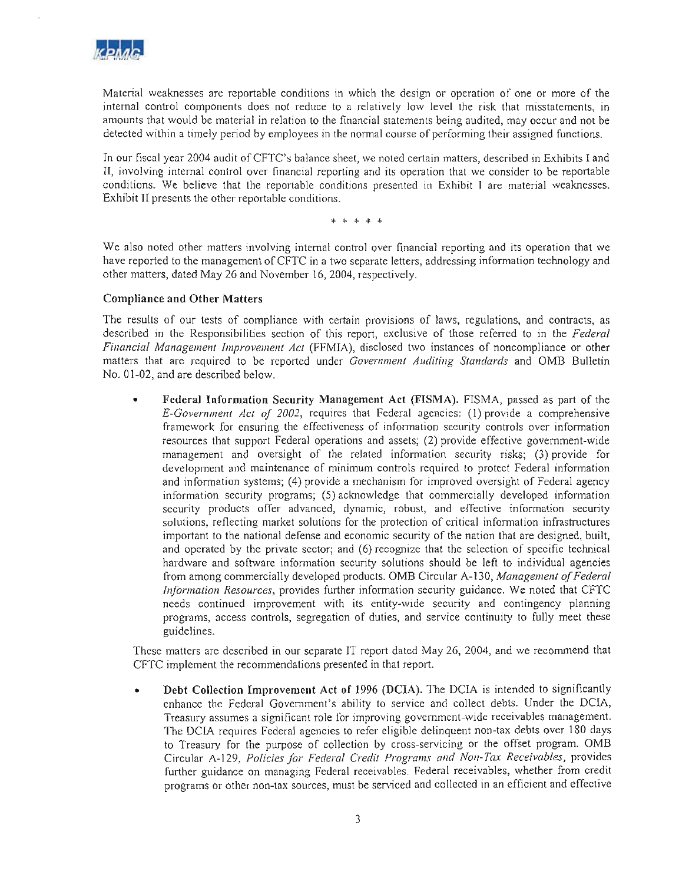

**Material weaknesses arc reportable conditions in which the design or operation of one or more of the internal control components does not reduce to a relatively low level the risk that misstatements, in** amounts that would be material in relation to the financial statements being audited, may occur and not be detected within a timely period by employees in the normal course of performing their assigned functions.

In our fiscal year 2004 audit of CFTC's balance sheet, we noted certain matters, described in Exhibits I and **II, involving internal control over financial reporting and its operation that we consider to be reportable conditions. We believe that the reportable conditions presented in Exhibit I arc material weaknesses.** Exhibit II presents the other reportable conditions.

\* \* \* \*

**We also noted other matters involving internal control over financial reporting and its operation that we** have reported to the management of CFTC in a two separate letters, addressing information technology and other matters, dated May 26 and November 16,2004, respectively.

#### Compliance and Other Matters

The results of our tests of compliance with certain provisions of laws, regulations, and contracts, as described in the Responsibilities section of this report, exclusive of those referred to in the *Federal Financial Management Improvement Act* (FFMIA), disclosed two instances of noncompliance or other matters that are required to be reported under *Government Auditing Standards* and OMB Bulletin No. 01-02, and are described below.

• Federal Information Security Management Act (FISMA). FISMA, passed as part of the *E-Government Act of 2002*, requires that Federal agencies: (1) provide a comprehensive **framework for ensuring the effectiveness of information security controls over information** resources that support Federal operations and assets; (2) provide effective government-wide management and oversight of the related information security risks; (3) provide for development and maintenance of minimum controls required to protect Federal information and information systems; (4) provide a mechanism for improved oversight of Federal agency information security programs; (5) ackrowledge that commercially developed information **security products offer advanced, dynamic, robust, and effective information security solutions, renecting market solutions for the protection of critical information infrastructures** important to the national defense and economic security of the nation that arc designed, built, and operated by the private sector; and (6) recognize that the selection of specific technical hardware and software information security solutions should be left to individual agencies from among commercially developed products. OMB Circular A-130, *Management of Federal Information Resources,* provides further information security guidance. We noted that CFTC needs continued improvement with its entity-wide security and contingency planning programs, access controls, segregation of duties, and service continuity to fully meet these guidelines.

These malters arc described in our separate IT report dated May 26, 2004, and we recommend that CFTC implement the recommendations presented in that report.

• Debt Collection Improvement Act **of** 1996 (DCtA). The DCIA is intended to significantly enhance the Federal Government's ability to service and collect debts. Under the DClA, **Treasury assumes a significant role for improving govemment-wide receivables management.** The DClA requires Federal agencies to refer eligible delinquent non-lax debts over l80 days to Treasury for the purpose of collection by cross-servicing or the offset program. OMB Circular A-129, *Policies Jor Federal Credit Programs Gild NOli-Tax Receivables,* provides **further guidance on managing Federal receivables. Federal receivables, whether from credit programs or other non-tax sources, must be serviced and collected in an efficient and effective**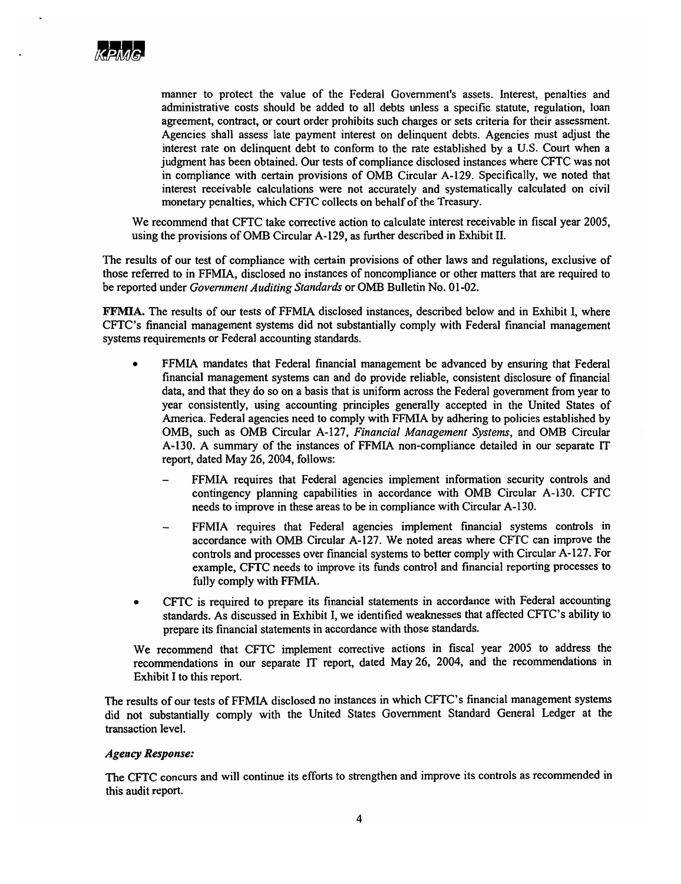

manner to protect the value of the Federal Government's assets. Interest, penalties and administrative costs should be added to all debts unless a specific statute, regulation, loan agreement, contract, or court order prohibits such charges or sets criteria for their assessment. Agencies shall assess late payment interest on delinquent debts. Agencies must adjust the interest rate on delinquent debt to conform to the rate established by a U.S. Court when a judgment has been obtained. Our tests of compliance disclosed instances where CFTC was not in compliance with certain provisions of OMB Circular A-129. Specifically, we noted that interest receivable calculations were not accurately and systematically calculated on civil monetary penalties, which CFTC collects on behalf of the Treasury.

We recommend that CFTC take corrective action to calculate interest receivable in fiscal year 2005, using the provisions ofOMB Circular A-129, as further described in Exhibit II.

The results of our test of compliance with certain provisions of other laws and regulations, exclusive of those referred to in FFMIA, disclosed no instances of noncompliance or other matters that are required to be reported under *Government Auditing Standards* or OMB Bulletin No. 01-02.

FFMIA. The results of our tests of FFMIA disclosed instances, described below and in Exhibit I, where CFTC's financial management systems did not substantially comply with Federal financial management systems requirements or Federal accounting standards.

- FFMIA mandates that Federal financial management be advanced by ensuring that Federal financial management systems can and do provide reliable, consistent disclosure of financial data, and that they do so on a basis that is uniform across the Federal government from year to year consistently, using accounting principles generally accepted in the United States of America. Federal agencies need to comply with FFMIA by adhering to policies established by OMB, such as OMB Circular A-127, *Financial Management Systems,* and OMB Circular A-130. A summary of the instances of FFMIA non-compliance detailed in our separate IT report, dated May 26, 2004, follows:
	- FFMIA requires that Federal agencies implement information security controls and contingency planning capabilities in accordance with OMB Circular A-130. CFTC needs to improve in these areas to be in compliance with Circular A-130.
	- FFMIA requires that Federal agencies implement financial systems controls in accordance with OMB Circular A-127. We noted areas where CFTC can improve the controls and processes over financial systems to better comply with Circular A-127. For example, CFfC needs to improve its funds control and financial reporting processes to fully comply with FFMIA.
- CFTC is required to prepare its financial statements in accordance with Federal accounting standards. As discussed in Exhibit I, we identified weaknesses that affected CFTC's ability to prepare its financial statements in accordance with those standards.

We recommend that CFTC implement corrective actions in fiscal year 2005 to address the recommendations in our separate IT report, dated May 26, 2004, and the recommendations in Exhibit I to this report.

The results of our tests of FFMIA disclosed no instances in which CFTC's financial management systems did not substantially comply with the United States Government Standard General Ledger at the transaction level.

### Agency Response:

The CFfC concurs and will continue its efforts to strengthen and improve its controls as recommended in this audit report.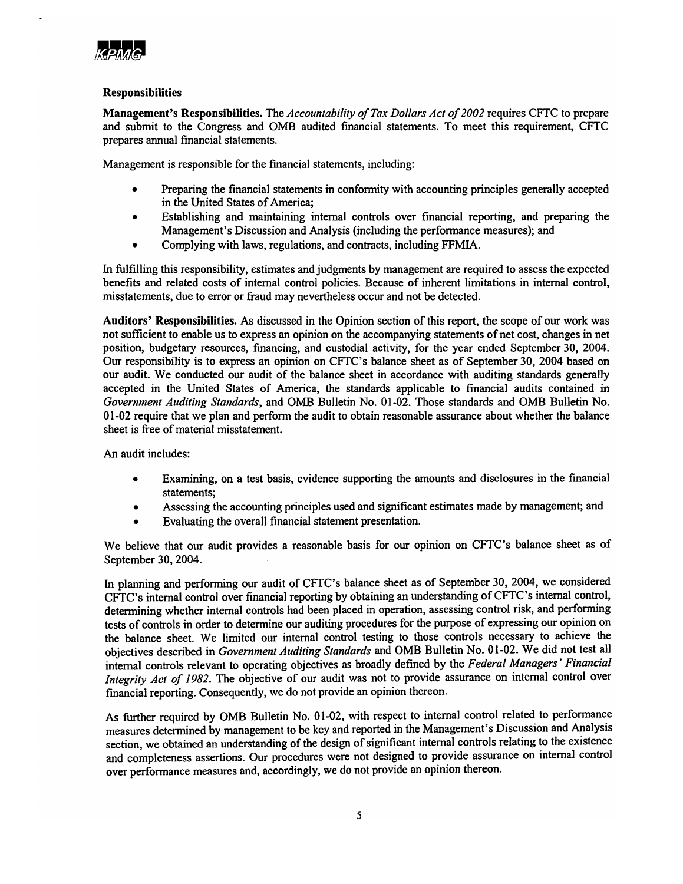

# **Responsibilities**

Management's Responsibilities. The *Accountability ofTax Dollars Act of2002* requires CFfC to prepare and submit to the Congress and OMB audited financial statements. To meet this requirement, CFfC prepares annual financial statements.

Management is responsible for the financial statements, including:

- Preparing the financial statements in conformity with accounting principles generally accepted in the United States of America;
- Establishing and maintaining internal controls over financial reporting, and preparing the Management's Discussion and Analysis (including the performance measures); and
- Complying with laws, regulations, and contracts, including FFMIA.

In fulfilling this responsibility, estimates and judgments by management are required to assess the expected benefits and related costs of internal control policies. Because of inherent limitations in internal control, misstatements, due to error or fraud may nevertheless occur and not be detected.

Auditors' Responsibilities. As discussed in the Opinion section of this report, the scope of our work was not sufficient to enable us to express an opinion on the accompanying statements of net cost, changes in net position, budgetary resources, financing, and custodial activity, for the year ended September 30, 2004. Our responsibility is to express an opinion on CFTC's balance sheet as of September 30, 2004 based on our audit. We conducted our audit of the balance sheet in accordance with auditing standards generally accepted in the United States of America, the standards applicable to financial audits contained in *Government Auditing Standards,* and OMB Bulletin No. 01-02. Those standards and OMB Bulletin No. 01-02 require that we plan and perform the audit to obtain reasonable assurance about whether the balance sheet is free of material misstatement.

An audit includes:

- Examining, on a test basis, evidence supporting the amounts and disclosures in the financial statements;
- Assessing the accounting principles used and significant estimates made by management; and
- Evaluating the overall financial statement presentation.

We believe that our audit provides a reasonable basis for our opinion on CFfC's balance sheet as of September 30, 2004.

In planning and performing our audit of CFfC's balance sheet as of September 30, 2004, we considered CFfC's internal control over financial reporting by obtaining an understanding ofCFTC's internal control, determining whether internal controls had been placed in operation, assessing control risk, and performing tests of controls in order to determine our auditing procedures for the purpose of expressing our opinion on the balance sheet. We limited our internal control testing to those controls necessary to achieve the objectives described in *Government Auditing Standards* and OMB Bulletin No. 01-02. We did not test all internal controls relevant to operating objectives as broadly defined by the *Federal Managers' Financial Integrity Act of* 1982. The objective of our audit was not to provide assurance on internal control over financial reporting. Consequently, we do not provide an opinion thereon.

As further required by OMB Bulletin No. 01-02, with respect to internal control related to performance measures determined by management to be key and reported in the Management's Discussion and Analysis section, we obtained an understanding of the design of significant internal controls relating to the existence and completeness assertions. Our procedures were not designed to provide assurance on internal control over performance measures and, accordingly, we do not provide an opinion thereon.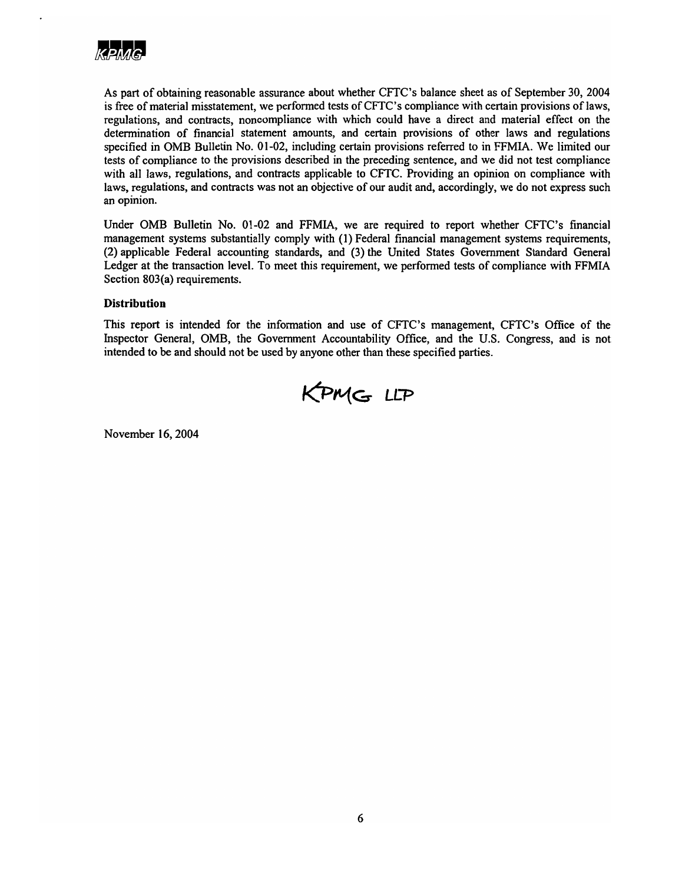

As part of obtaining reasonable assurance about whether CFTC's balance sheet as of September 30, 2004 is free of material misstatement, we performed tests of CFTC's compliance with certain provisions of laws, regulations, and contracts, noncompliance with which could have a direct and material effect on the determination of financial statement amounts, and certain provisions of other laws and regulations specified in OMB Bulletin No. 01-02, including certain provisions referred to in FFMIA. We limited our tests of compliance to the provisions described in the preceding sentence, and we did not test compliance with all laws, regulations, and contracts applicable to CFTC. Providing an opinion on compliance with laws, regulations, and contracts was not an objective of our audit and, accordingly, we do not express such an opinion.

Under OMB Bulletin No. 01-02 and FFMIA, we are required to report whether CFTC's financial management systems substantially comply with (I) Federal financial management systems requirements, (2) applicable Federal accounting standards, and (3) the United States Government Standard General Ledger at the transaction level. To meet this requirement, we performed tests of compliance with FFMIA Section 803(a) requirements.

# **Distribution**

This report is intended for the information and use of CFfC's management, CFTC's Office of the Inspector General, OMB, the Government Accountability Office, and the U.S. Congress, and is not intended to be and should not be used by anyone other than these specified parties.



November 16, 2004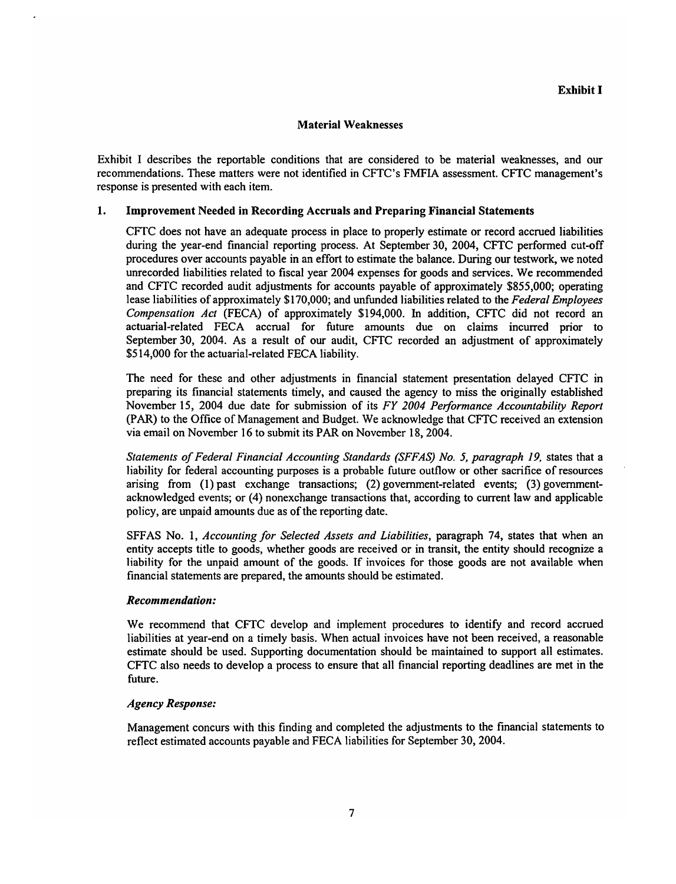### Material Weaknesses

Exhibit I describes the reportable conditions that are considered to be material weaknesses, and our recommendations. These matters were not identified in CFTC's FMFIA assessment. CFTC management's response is presented with each item.

### 1. Improvement Needed in Recording Accruals and Preparing Financial Statements

CFfC does not have an adequate process in place to properly estimate or record accrued liabilities during the year-end financial reporting process. At September 30, 2004, CFTC performed cut-off procedures over accounts payable in an effort to estimate the balance. During our testwork, we noted unrecorded liabilities related to fiscal year 2004 expenses for goods and services. We recommended and CFTC recorded audit adjustments for accounts payable of approximately \$855,000; operating lease liabilities of approximately \$170,000; and unfunded liabilities related to the *Federal Employees Compensation Act* (FECA) of approximately \$194,000. In addition, CFTC did not record an actuarial-related FECA accrual for future amounts due on claims incurred prior to September 30, 2004. As a result of our audit, CFTC recorded an adjustment of approximately \$514,000 for the actuarial-related FECA liability.

The need for these and other adjustments in financial statement presentation delayed CITC in preparing its financial statements timely, and caused the agency to miss the originally established November 15, 2004 due date for submission of its *FY 2004 Performance Accountability Report* (PAR) to the Office of Management and Budget. We acknowledge that CFTC received an extension via email on November 16 to submit its PAR on November 18, 2004.

*Statements ofFederal Financial Accounting Standards (SFFAS) No.5, paragraph* 19, states that a liability for federal accounting purposes is a probable future outflow or other sacrifice of resources arising from (1) past exchange transactions; (2) government-related events; (3) governmentacknowledged events; or (4) nonexchange transactions that, according to current law and applicable policy, are unpaid amounts due as of the reporting date.

SFFAS No.1, *Accounting for Selected Assets and Liabilities,* paragraph 74, states that when an entity accepts title to goods, whether goods are received or in transit, the entity should recognize a liability for the unpaid amount of the goods. If invoices for those goods are not available when financial statements are prepared, the amounts should be estimated.

### *Recommendation:*

We recommend that CFTC develop and implement procedures to identify and record accrued liabilities at year-end on a timely basis. When actual invoices have not been received, a reasonable estimate should be used. Supporting documentation should be maintained to support all estimates. CFTC also needs to develop a process to ensure that all financial reporting deadlines are met in the future.

### $A$ gency Response:

Management concurs with this finding and completed the adjustments to the financial statements to reflect estimated accounts payable and FECA liabilities for September 30, 2004.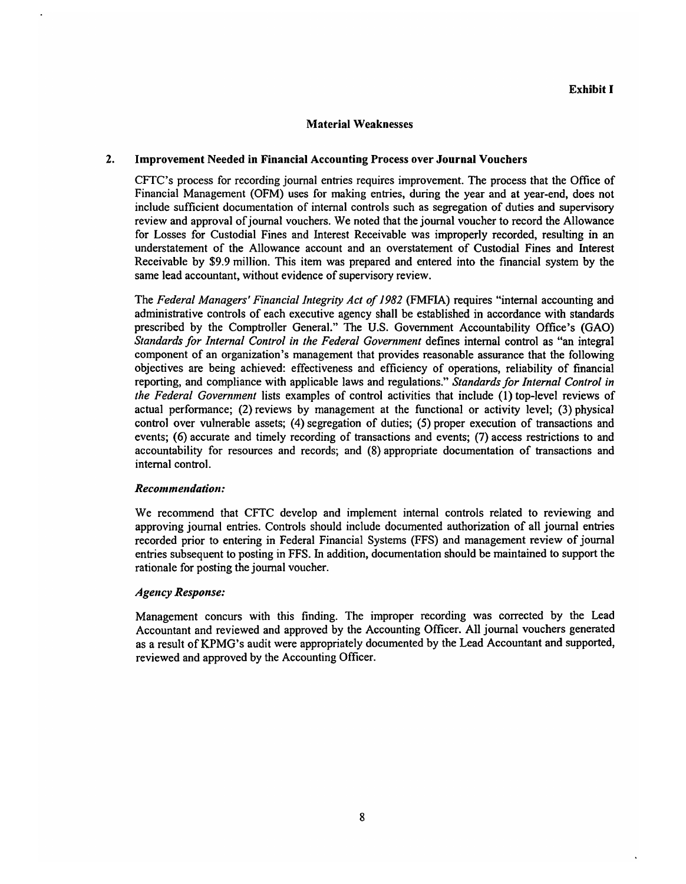# Material Weaknesses

#### 2. Improvement Needed in Financial Accounting Process over Journal Vouchers

CFTC's process for recording journal entries requires improvement. The process that the Office of Financial Management (OFM) uses for making entries, during the year and at year-end, does not include sufficient documentation of internal controls such as segregation of duties and supervisory review and approval of journal vouchers. We noted that the journal voucher to record the Allowance for Losses for Custodial Fines and Interest Receivable was improperly recorded, resulting in an understatement of the Allowance account and an overstatement of Custodial Fines and Interest Receivable by \$9.9 million. This item was prepared and entered into the financial system by the same lead accountant, without evidence of supervisory review.

The *Federal Managers' Financial Integrity Act of*1982 (FMFIA) requires "internal accounting and administrative controls of each executive agency shall be established in accordance with standards prescribed by the Comptroller General." The U.S. Government Accountability Office's (GAO) *Standards for Internal Control in the Federal Government* defines internal control as "an integral component of an organization's management that provides reasonable assurance that the following objectives are being achieved: effectiveness and efficiency of operations, reliability of financial reporting, and compliance with applicable laws and regulations." *Standards for Internal Control in the Federal Government* lists examples of control activities that include (1) top-level reviews of actual performance; (2) reviews by management at the functional or activity level; (3) physical control over vulnerable assets; (4) segregation of duties; (5) proper execution of transactions and events; (6) accurate and timely recording of transactions and events; (7) access restrictions to and accountability for resources and records; and (8) appropriate documentation of transactions and internal control.

#### Recommendation:

We recommend that CFTC develop and implement internal controls related to reviewing and approving journal entries. Controls should include documented authorization of all journal entries recorded prior to entering in Federal Financial Systems (FFS) and management review of journal entries subsequent to posting in FFS. In addition, documentation should be maintained to support the rationale for posting the journal voucher.

#### Agency Response:

Management concurs with this finding. The improper recording was corrected by the Lead Accountant and reviewed and approved by the Accounting Officer. All journal vouchers generated as a result of KPMG's audit were appropriately documented by the Lead Accountant and supported, reviewed and approved by the Accounting Officer.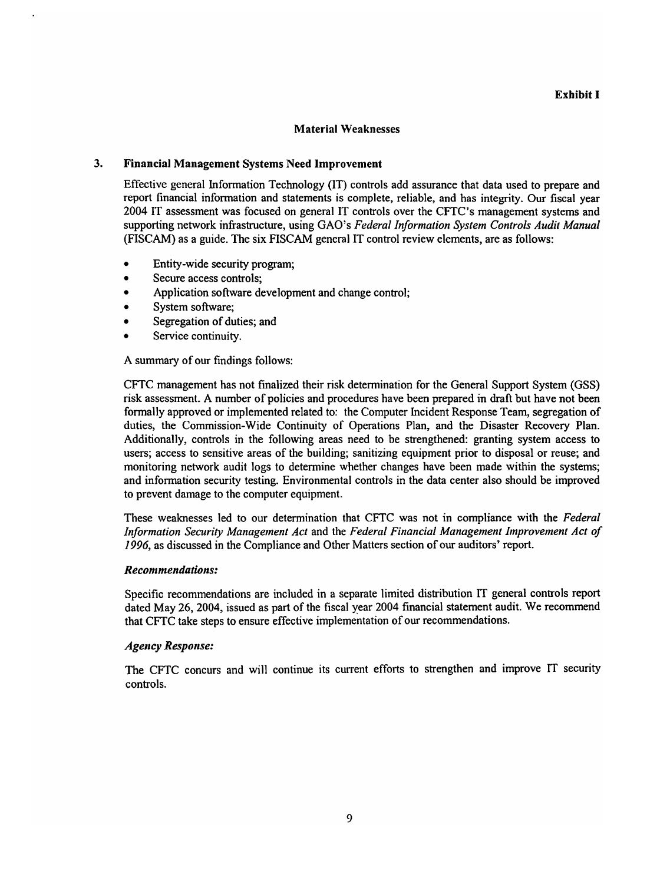### Material Weaknesses

### 3. Financial Management Systems Need Improvement

Effective general Information Technology (IT) controls add assurance that data used to prepare and report financial information and statements is complete, reliable, and has integrity. Our fiscal year 2004 IT assessment was focused on general IT controls over the CFTC's management systems and supporting network infrastructure, using GAO's *Federal Information System Controls Audit Manual* (FISCAM) as a guide. The six FISCAM general IT control review elements, are as follows:

- Entity-wide security program;
- Secure access controls;
- Application software development and change control;
- System software:
- Segregation of duties; and
- Service continuity.

A summary of our findings follows:

CFTC management has not finalized their risk determination for the General Support System (GSS) risk assessment. A number of policies and procedures have been prepared in draft but have not been formally approved or implemented related to: the Computer Incident Response Team, segregation of duties, the Commission-Wide Continuity of Operations Plan, and the Disaster Recovery Plan. Additionally, controls in the following areas need to be strengthened: granting system access to users; access to sensitive areas of the building; sanitizing equipment prior to disposal or reuse; and monitoring network audit logs to determine whether changes have been made within the systems; and information security testing. Environmental controls in the data center also should be improved to prevent damage to the computer equipment.

These weaknesses led to our determination that CFTC was not in compliance with the *Federal Information Security Management Act* and the *Federal Financial Management Improvement Act of* 1996, as discussed in the Compliance and Other Matters section of our auditors' report.

### *Recommendations:*

Specific recommendations are included in a separate limited distribution IT general controls report dated May 26,2004, issued as part of the fiscal year 2004 financial statement audit. We recommend that CFTC take steps to ensure effective implementation of our recommendations.

### *Agency Response:*

The CFTC concurs and will continue its current efforts to strengthen and improve IT security controls.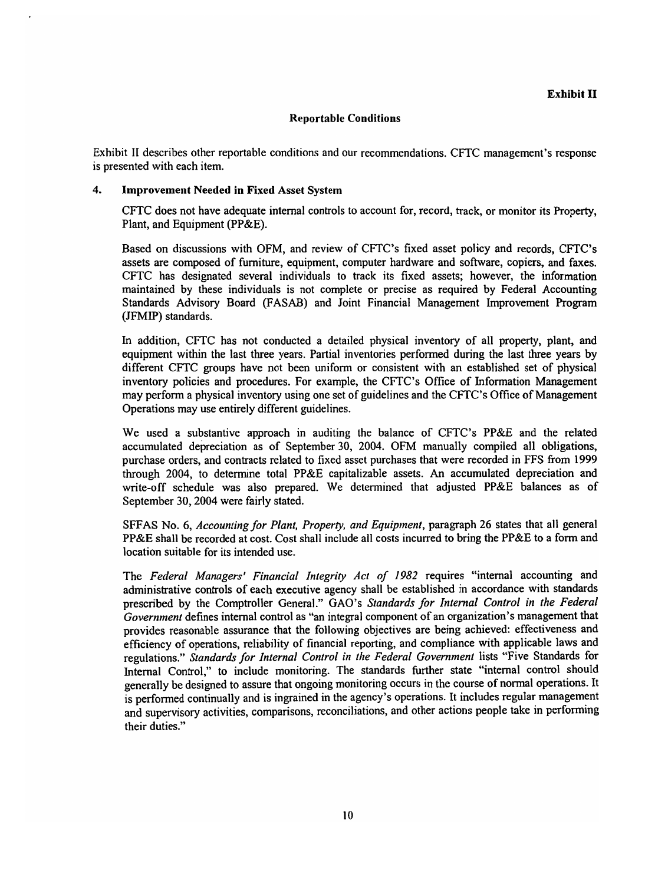Exhibit II describes other reportable conditions and our recommendations. CFTC management's response is presented with each item.

# 4. Improvement Needed in Fixed Asset System

CFfC does not have adequate internal controls to account for, record, track, or monitor its Property, Plant, and Equipment (PP&E).

Based on discussions with OFM, and review of CFfC's fixed asset policy and records, CFTC's assets are composed of furniture, equipment, computer hardware and software, copiers, and faxes. CFTC has designated several individuals to track its fixed assets; however, the information maintained by these individuals is not complete or precise as required by Federal Accounting Standards Advisory Board (FASAB) and Joint Financial Management Improvement Program (JFMIP) standards.

In addition, CFTC has not conducted a detailed physical inventory of all property, plant, and equipment within the last three years. Partial inventories performed during the last three years by different CFTC groups have not been uniform or consistent with an established set of physical inventory policies and procedures. For example, the CFTC's Office of Information Management may perform a physical inventory using one set of guidelines and the CFTC's Office of Management Operations may use entirely different guidelines.

We used a substantive approach in auditing the balance of CFTC's PP&E and the related accumulated depreciation as of September 30, 2004. OFM manually compiled all obligations, purchase orders, and contracts related to fixed asset purchases that were recorded in FFS from 1999 through 2004, to determine total PP&E capitalizable assets. An accumulated depreciation and write-off schedule was also prepared. We determined that adjusted PP&E balances as of September 30, 2004 were fairly stated.

SFFAS No.6, *Accounting for Plant, Property, and Equipment,* paragraph 26 states that all general PP&E shall be recorded at cost. Cost shall include all costs incurred to bring the PP&E to a form and location suitable for its intended use.

The *Federal Managers' Financial Integrity Act of* 1982 requires "internal accounting and administrative controls of each executive agency shall be established in accordance with standards prescribed by the Comptroller General." GAO's *Standards for Internal Control in the Federal Government* defines internal control as "an integral component of an organization's management that provides reasonable assurance that the following objectives are being achieved: effectiveness and efficiency of operations, reliability of financial reporting, and compliance with applicable laws and regulations." *Standards for Internal Control in the Federal Government* lists "Five Standards for Internal Control," to include monitoring. The standards further state "internal control should generally be designed to assure that ongoing monitoring occurs in the course of normal operations. It is performed continually and is ingrained in the agency's operations. It includes regular management and supervisory activities, comparisons, reconciliations, and other actions people take in performing their duties."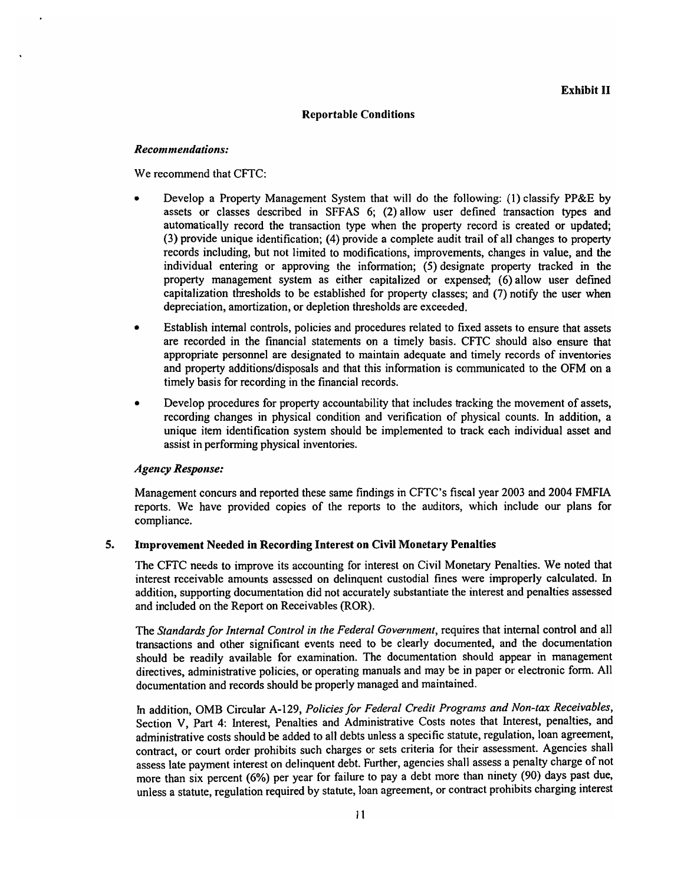#### $Recommendations:$

We recommend that CFTC:

- Develop a Property Management System that will do the following: (1) classify PP&E by assets or classes described in SFFAS 6; (2) allow user defined transaction types and automatically record the transaction type when the property record is created or updated; (3) provide unique identification; (4) provide a complete audit trail of all changes to property records including, but not limited to modifications, improvements, changes in value, and the individual entering or approving the information; (5) designate property tracked in the property management system as either capitalized or expensed; (6) allow user defined capitalization thresholds to be established for property classes; and (7) notify the user when depreciation, amortization, or depletion thresholds are exceeded.
- Establish internal controls, policies and procedures related to fixed assets to ensure that assets are recorded in the financial statements on a timely basis. CFTC should also ensure that appropriate personnel are designated to maintain adequate and timely records of inventories and property additions/disposals and that this information is communicated to the OFM on a timely basis for recording in the financial records.
- Develop procedures for property accountability that includes tracking the movement of assets, recording changes in physical condition and verification of physical counts. In addition, a unique item identification system should be implemented to track each individual asset and assist in performing physical inventories.

#### $A$ gency Response:

Management concurs and reported these same findings in CFTC's fiscal year 2003 and 2004 FMFIA reports. We have provided copies of the reports to the auditors, which include our plans for compliance.

#### 5. Improvement Needed in Recording Interest on Civil Monetary Penalties

The CFTC needs to improve its accounting for interest on Civil Monetary Penalties. We noted that interest receivable amounts assessed on delinquent custodial fines were improperly calculated. In addition, supporting documentation did not accurately substantiate the interest and penalties assessed and included on the Report on Receivables (ROR).

The *Standardsfor Internal Control in the Federal Government,* requires that internal control and all transactions and other significant events need to be clearly documented, and the documentation should be readily available for examination. The documentation should appear in management directives, administrative policies, or operating manuals and may be in paper or electronic form. All documentation and records should be properly managed and maintained.

In addition, OMB Circular A-129, *Policies for Federal Credit Programs and Non-tax Receivables,* Section V, Part 4: Interest, Penalties and Administrative Costs notes that Interest, penalties, and administrative costs should be added to all debts unless a specific statute, regulation, loan agreement, contract, or court order prohibits such charges or sets criteria for their assessment. Agencies shall assess late payment interest on delinquent debt. Further, agencies shall assess a penalty charge of not more than six percent (6%) per year for failure to pay a debt more than ninety (90) days past due, unless a statute, regulation required by statute, loan agreement, or contract prohibits charging interest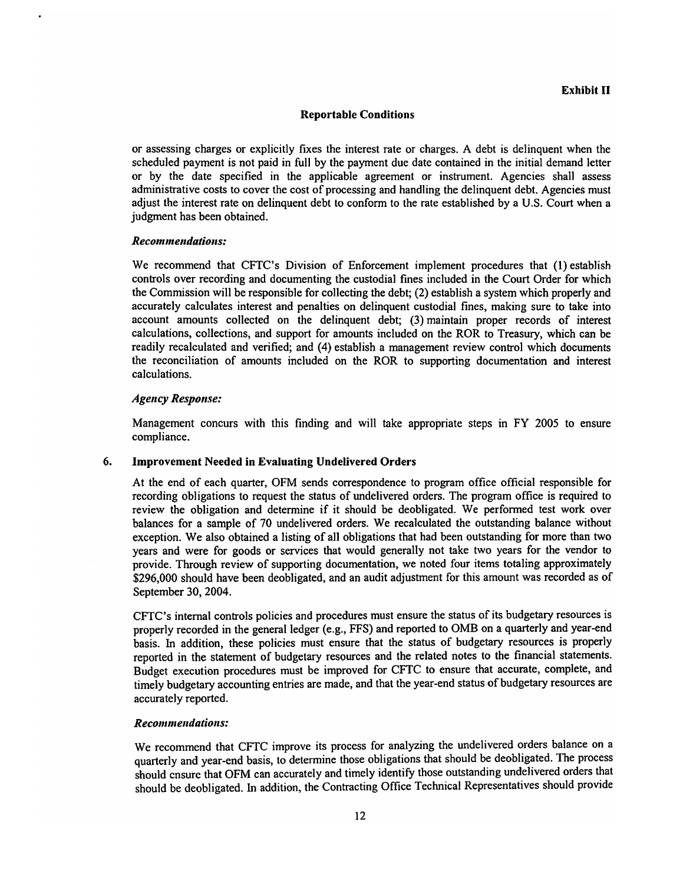or assessing charges or explicitly fixes the interest rate or charges. A debt is delinquent when the scheduled payment is not paid in full by the payment due date contained in the initial demand letter or by the date specified in the applicable agreement or instrument. Agencies shall assess administrative costs to cover the cost of processing and handling the delinquent debt. Agencies must adjust the interest rate on delinquent debt to conform to the rate established by a U.S. Court when a judgment has been obtained.

#### $Recommendations:$

We recommend that CFTC's Division of Enforcement implement procedures that (1) establish controls over recording and documenting the custodial fines included in the Court Order for which the Commission will be responsible for collecting the debt; (2) establish a system which properly and accurately calculates interest and penalties on delinquent custodial fines, making sure to take into account amounts collected on the delinquent debt; (3) maintain proper records of interest calculations, collections, and support for amounts included on the ROR to Treasury, which can be readily recalculated and verified; and (4) establish a management review control which documents the reconciliation of amounts included on the ROR to supporting documentation and interest calculations.

#### *Agency Response:*

Management concurs with this finding and will take appropriate steps in FY 2005 to ensure compliance.

#### 6. Improvement Needed in Evaluating Undelivered Orders

At the end of each quarter, OFM sends correspondence to program office official responsible for recording obligations to request the status of undelivered orders. The program office is required to review the obligation and determine if it should be deobligated. We performed test work over balances for a sample of 70 undelivered orders. We recalculated the outstanding balance without exception. We also obtained a listing of all obligations that had been outstanding for more than two years and were for goods or services that would generally not take two years for the vendor to provide. Through review of supporting documentation, we noted four items totaling approximately \$296,000 should have been deobligated, and an audit adjustment for this amount was recorded as of September 30, 2004.

CFTC's internal controls policies and procedures must ensure the status of its budgetary resources is properly recorded in the general ledger (e.g., FFS) and reported to OMB on a quarterly and year-end basis. In addition, these policies must ensure that the status of budgetary resources is properly reported in the statement of budgetary resources and the related notes to the financial statements. Budget execution procedures must be improved for CFTC to ensure that accurate, complete, and timely budgetary accounting entries are made, and that the year-end status of budgetary resources are accurately reported.

#### *Recommendatiolls:*

We recommend that CFTC improve its process for analyzing the undelivered orders balance on a quarterly and year-end basis, to determine those obligations that should be deobligated. The process should ensure that OFM can accurately and timely identify those outstanding undelivered orders that should be deobligated. In addition, the Contracting Office Technical Representatives should provide